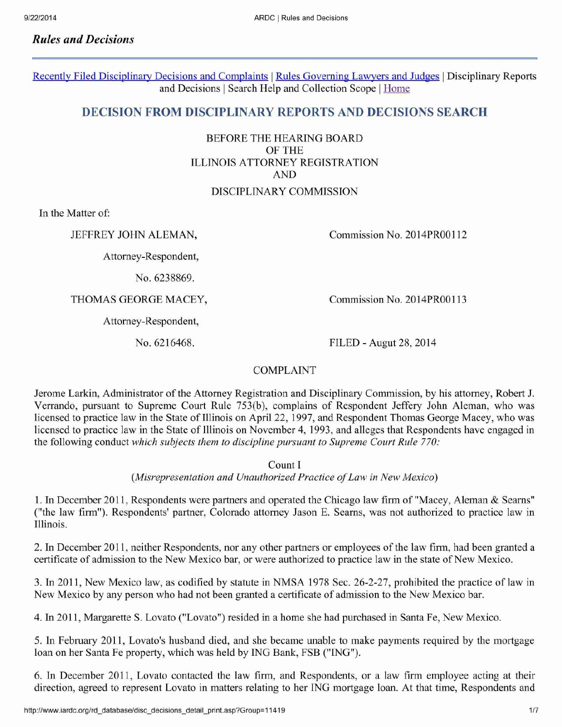# Rules *and Decisions*

Recently Filed Disciplinary Decisions and Complaints | Rules Governing Lawyers and Judges | Disciplinary Reports and Decisions | Search Help and Collection Scope | Home

# **DECISION FROM DISCIPLINARY REPORTS AND DECISIONS SEARCH**

# BEFORE THE HEARING BOARD OF THE ILLINOIS ATTORNEY REGISTRATION AND DISCIPLINARY COMMISSION

In the Matter of:

Attorney-Respondent,

No. 6238869.

THOMAS GEORGE MACEY,

Attorney-Respondent,

No. 6216468.

JEFFREY JOHN ALEMAN, Commission No. 2014PR00112

Commission No. 2014PR00113

FILED — Augut 28, 2014

## COMPLAINT

Jerome Larkin, Administrator of the Attorney Registration and Disciplinary Commission, by his attorney, Robert J. Verrando, pursuant to Supreme Court Rule 753(b), complains of Respondent Jeffery John Aleman, who was licensed to practice law in the State of Illinois on April 22, 1997, and Respondent Thomas George Macey, who was licensed to practice law in the State of Illinois on November 4, 1993, and alleges that Respondents have engaged in the following conduct *which subjects them to discipline pursuant to Supreme Court Rule 770:*

Count I

*(Misrepresentation and Unauthorized Practice of I.aw in New Mexico)*

1. In December 2011, Respondents were partners and operated the Chicago law firm of "Macey, Aleman & Seams" ("the law firm"). Respondents' partner, Colorado attorney Jason E. Seams, was not authorized to practice law in Illinois.

2. In December 2011, neither Respondents, nor any other partners or employees of the law firm, had been granted a certificate of admission to the New Mexico bar, or were authorized to practice law in the state of New Mexico.

3. In 2011, New Mexico law, as codified by statute in NMSA 1978 Sec. 26-2-27, prohibited the practice of law in New Mexico by any person who had not been granted a certificate of admission to the New Mexico bar.

4. In 2011, Margarette S. Lovato ("Lovato") resided in a home she had purchased in Santa Fe, New Mexico.

5. In February 2011, Lovato's husband died, and she became unable to make payments required by the mortgage loan on her Santa Fe property, which was held by ING Bank, FSB ("ING").

6. In December 2011, Lovato contacted the law firm, and Respondents, or a law firm employee acting at their direction, agreed to represent Lovato in matters relating to her ING mortgage loan. At that time, Respondents and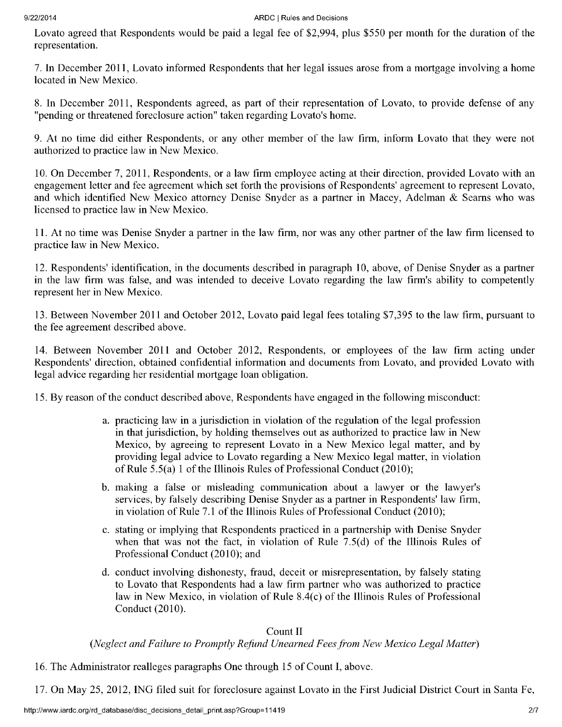Lovato agreed that Respondents would be paid a legal fee of \$2,994, plus \$550 per month for the duration of the representation.

7. In December 2011, Lovato informed Respondents that her legal issues arose from a mortgage involving a home located in New Mexico.

8. In December 2011, Respondents agreed, as part of their representation of Lovato, to provide defense of any "pending or threatened foreclosure action" taken regarding Lovato's home.

9. At no time did either Respondents, or any other member of the law firm, inform Lovato that they were not authorized to practice law in New Mexico.

10. On December 7, 2011, Respondents, or a law firm employee acting at their direction, provided Lovato with an engagement letter and fee agreement which set forth the provisions of Respondents' agreement to represent Lovato, and which identified New Mexico attorney Denise Snyder as a partner in Macey, Adelman & Seams who was licensed to practice law in New Mexico.

11. At no time was Denise Snyder a partner in the law firm, nor was any other partner of the law firm licensed to practice law in New Mexico.

12. Respondents' identification, in the documents described in paragraph 10, above, of Denise Snyder as a partner in the law firm was false, and was intended to deceive Lovato regarding the law firm's ability to competently represent her in New Mexico.

13. Between November 2011 and October 2012, Lovato paid legal fees totaling \$7,395 to the law firm, pursuant to the fee agreement described above.

14. Between November 2011 and October 2012, Respondents, or employees of the law firm acting under Respondents' direction, obtained confidential information and documents from Lovato, and provided Lovato with legal advice regarding her residential mortgage loan obligation.

15. By reason of the conduct described above, Respondents have engaged in the following misconduct:

- a. practicing law in a jurisdiction in violation of the regulation of the legal profession in that jurisdiction, by holding themselves out as authorized to practice law in New Mexico, by agreeing to represent Lovato in a New Mexico legal matter, and by providing legal advice to Lovato regarding a New Mexico legal matter, in violation of Rule 5.5(a) 1 of the Illinois Rules of Professional Conduct (2010);
- b. making a false or misleading communication about a lawyer or the lawyer's services, by falsely describing Denise Snyder as a partner in Respondents' law firm, in violation of Rule 7.1 of the Illinois Rules of Professional Conduct (2010);
- c. stating or implying that Respondents practiced in a partnership with Denise Snyder when that was not the fact, in violation of Rule 7.5(d) of the Illinois Rules of Professional Conduct (2010); and
- d. conduct involving dishonesty, fraud, deceit or misrepresentation, by falsely stating to Lovato that Respondents had a law firm partner who was authorized to practice law in New Mexico, in violation of Rule 8.4(c) of the Illinois Rules of Professional Conduct (2010).

## Count II

*(Neglect and Failure to Promptly Refund Unearned Feesfrom New Mexico Legal Matter)*

16. The Administrator realleges paragraphs One through 15 of Count I, above.

17. On May 25, 2012, ING filed suit for foreclosure against Lovato in the First Judicial District Court in Santa Fe,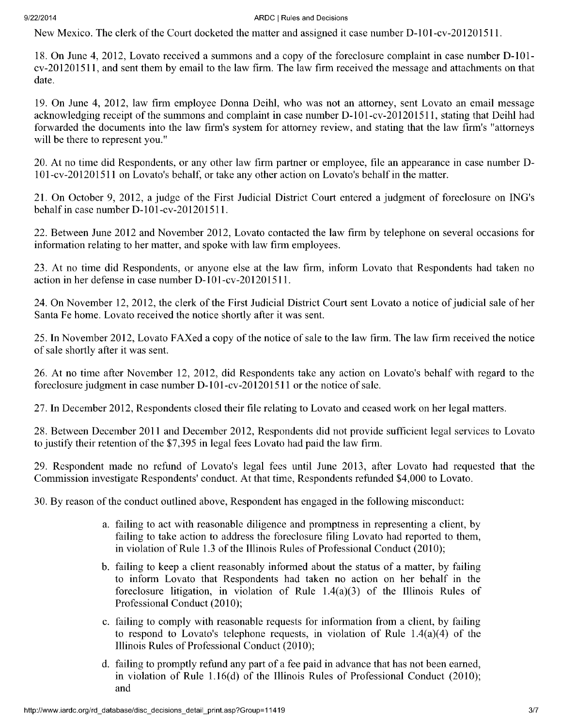New Mexico. The clerk of the Court docketed the matter and assigned it case number D-101-cv-201201511.

18. On June 4, 2012, Lovato received a summons and a copy of the foreclosure complaint in case number D-101 cv-201201511, and sent them by email to the law firm. The law firm received the message and attachments on that date.

19. On June 4, 2012, law firm employee Donna Deihl, who was not an attorney, sent Lovato an email message acknowledging receipt of the summons and complaint in case number D-101-cv-201201511, stating that Deihl had forwarded the documents into the law firm's system for attorney review, and stating that the law firm's "attorneys will be there to represent you."

20. At no time did Respondents, or any other law firm partner or employee, file an appearance in case number D-101-cv-201201511 on Lovato's behalf, or take any other action on Lovato's behalf in the matter.

21. On October 9, 2012, a judge of the First Judicial District Court entered a judgment of foreclosure on ING's behalf in case number D-101-cv-201201511.

22. Between June 2012 and November 2012, Lovato contacted the law firm by telephone on several occasions for information relating to her matter, and spoke with law firm employees.

23. At no time did Respondents, or anyone else at the law firm, inform Lovato that Respondents had taken no action in her defense in case number D-101-cv-201201511.

24. On November 12, 2012, the clerk of the First Judicial District Court sent Lovato a notice of judicial sale of her Santa Fe home. Lovato received the notice shortly after it was sent.

25. In November 2012, Lovato FAXed a copy of the notice of sale to the law firm. The law firm received the notice of sale shortly after it was sent.

26. At no time after November 12, 2012, did Respondents take any action on Lovato's behalf with regard to the foreclosure judgment in case number D-101-cv-201201511 or the notice of sale.

27. In December 2012, Respondents closed their file relating to Lovato and ceased work on her legal matters.

28. Between December 2011 and December 2012, Respondents did not provide sufficient legal services to Lovato to justify their retention of the \$7,395 in legal fees Lovato had paid the law firm.

29. Respondent made no refund of Lovato's legal fees until June 2013, after Lovato had requested that the Commission investigate Respondents' conduct. At that time, Respondents refunded \$4,000 to Lovato.

30. By reason of the conduct outlined above, Respondent has engaged in the following misconduct:

- a. failing to act with reasonable diligence and promptness in representing a client, by failing to take action to address the foreclosure filing Lovato had reported to them, in violation of Rule 1.3 of the Illinois Rules of Professional Conduct (2010);
- b. failing to keep a client reasonably informed about the status of a matter, by failing to inform Lovato that Respondents had taken no action on her behalf in the foreclosure litigation, in violation of Rule 1.4(a)(3) of the Illinois Rules of Professional Conduct (2010);
- c. failing to comply with reasonable requests for information from a client, by failing to respond to Lovato's telephone requests, in violation of Rule 1.4(a)(4) of the Illinois Rules of Professional Conduct (2010);
- d. failing to promptly refund any part of a fee paid in advance that has not been earned, in violation of Rule 1.16(d) of the Illinois Rules of Professional Conduct (2010); and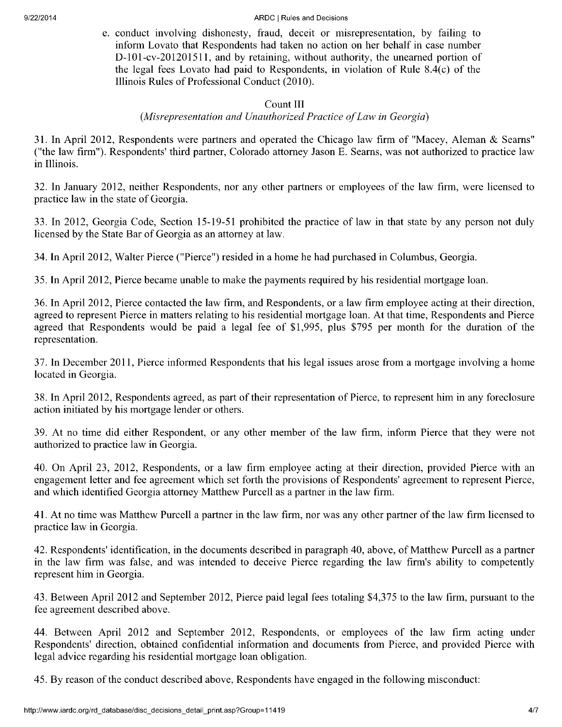e. conduct involving dishonesty, fraud, deceit or misrepresentation, by failing to inform Lovato that Respondents had taken no action on her behalf in case number D-101-cv-201201511, and by retaining, without authority, the unearned portion of the legal fees Lovato had paid to Respondents, in violation of Rule 8.4(c) of the Illinois Rules of Professional Conduct (2010).

## Count III

## *(Misrepresentation and Unauthorized Practice of Law in Georgia)*

31. In April 2012, Respondents were partners and operated the Chicago law firm of "Macey, Aleman & Searns" ("the law firm"). Respondents' third partner, Colorado attorney Jason E. Seams, was not authorized to practice law in Illinois.

32. In January 2012, neither Respondents, nor any other partners or employees of the law firm, were licensed to practice law in the state of Georgia.

33. In 2012, Georgia Code, Section 15-19-51 prohibited the practice of law in that state by any person not duly licensed by the State Bar of Georgia as an attorney at law.

34. In April 2012, Walter Pierce ("Pierce") resided in a home he had purchased in Columbus, Georgia.

35. In April 2012, Pierce became unable to make the payments required by his residential mortgage loan.

36. In April 2012, Pierce contacted the law firm, and Respondents, or a law firm employee acting at their direction, agreed to represent Pierce in matters relating to his residential mortgage loan. At that time, Respondents and Pierce agreed that Respondents would be paid a legal fee of \$1,995, plus \$795 per month for the duration of the representation.

37. In December 2011, Pierce informed Respondents that his legal issues arose from a mortgage involving a home located in Georgia.

38. In April 2012, Respondents agreed, as part of their representation of Pierce, to represent him in any foreclosure action initiated by his mortgage lender or others.

39. At no time did either Respondent, or any other member of the law firm, inform Pierce that they were not authorized to practice law in Georgia.

40. On April 23, 2012, Respondents, or a law firm employee acting at their direction, provided Pierce with an engagement letter and fee agreement which set forth the provisions of Respondents' agreement to represent Pierce, and which identified Georgia attorney Matthew Purcell as a partner in the law firm.

41. At no time was Matthew Purcell a partner in the law firm, nor was any other partner of the law firm licensed to practice law in Georgia.

42. Respondents' identification, in the documents described in paragraph 40, above, of Matthew Purcell as a partner in the law firm was false, and was intended to deceive Pierce regarding the law firm's ability to competently represent him in Georgia.

43. Between April 2012 and September 2012, Pierce paid legal fees totaling \$4,375 to the law firm, pursuant to the fee agreement described above.

44. Between April 2012 and September 2012, Respondents, or employees of the law firm acting under Respondents' direction, obtained confidential information and documents from Pierce, and provided Pierce with legal advice regarding his residential mortgage loan obligation.

45. By reason of the conduct described above, Respondents have engaged in the following misconduct: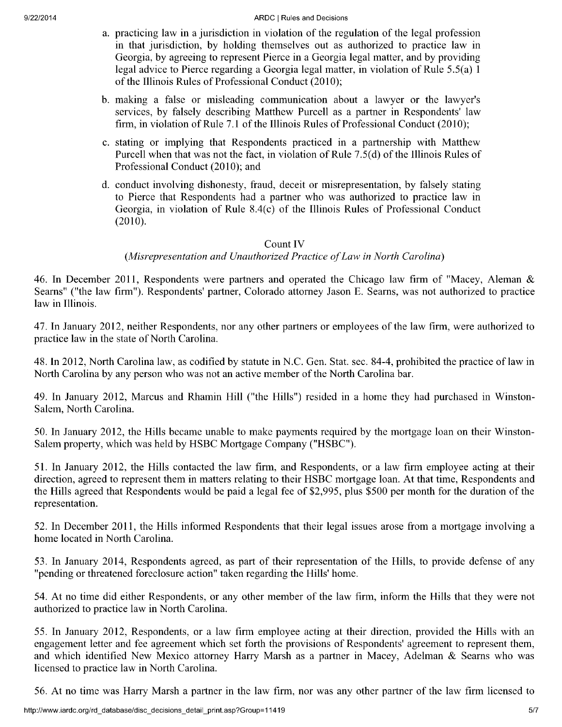- a. practicing law in a jurisdiction in violation of the regulation of the legal profession in that jurisdiction, by holding themselves out as authorized to practice law in Georgia, by agreeing to represent Pierce in a Georgia legal matter, and by providing legal advice to Pierce regarding a Georgia legal matter, in violation of Rule 5.5(a) 1 of the Illinois Rules of Professional Conduct (2010);
- b. making a false or misleading communication about a lawyer or the lawyer's services, by falsely describing Matthew Purcell as a partner in Respondents' law firm, in violation of Rule 7.1 of the Illinois Rules of Professional Conduct (2010);
- c. stating or implying that Respondents practiced in a partnership with Matthew Purcell when that was not the fact, in violation of Rule 7.5(d) of the Illinois Rules of Professional Conduct (2010); and
- d. conduct involving dishonesty, fraud, deceit or misrepresentation, by falsely stating to Pierce that Respondents had a partner who was authorized to practice law in Georgia, in violation of Rule 8.4(c) of the Illinois Rules of Professional Conduct (2010).

## Count IV

## *(Misrepresentation and Unauthorized Practice of Law in North Carolina )*

46. In December 2011, Respondents were partners and operated the Chicago law firm of "Macey, Aleman  $\&$ Seams" ("the law firm"). Respondents' partner, Colorado attorney Jason E. Seams, was not authorized to practice law in Illinois.

47. In January 2012, neither Respondents, nor any other partners or employees of the law firm, were authorized to practice law in the state of North Carolina.

48. In 2012, North Carolina law, as codified by statute in N.C. Gen. Stat. sec. 84-4, prohibited the practice of law in North Carolina by any person who was not an active member of the North Carolina bar.

49. In January 2012, Marcus and Rhamin Hill ("the Hills") resided in a home they had purchased in Winston-Salem, North Carolina.

50. In January 2012, the Hills became unable to make payments required by the mortgage loan on their Winston-Salem property, which was held by HSBC Mortgage Company ("HSBC").

51. In January 2012, the Hills contacted the law firm, and Respondents, or a law firm employee acting at their direction, agreed to represent them in matters relating to their HSBC mortgage loan. At that time, Respondents and the Hills agreed that Respondents would be paid a legal fee of \$2,995, plus \$500 per month for the duration of the representation.

52. In December 2011, the Hills informed Respondents that their legal issues arose from a mortgage involving a home located in North Carolina.

53. In January 2014, Respondents agreed, as part of their representation of the Hills, to provide defense of any "pending or threatened foreclosure action" taken regarding the Hills' home.

54. At no time did either Respondents, or any other member of the law firm, inform the Hills that they were not authorized to practice law in North Carolina.

55. In January 2012, Respondents, or a law firm employee acting at their direction, provided the Hills with an engagement letter and fee agreement which set forth the provisions of Respondents' agreement to represent them, and which identified New Mexico attorney Harry Marsh as a partner in Macey, Adelman & Seams who was licensed to practice law in North Carolina.

56. At no time was Harry Marsh a partner in the law firm, nor was any other partner of the law firm licensed to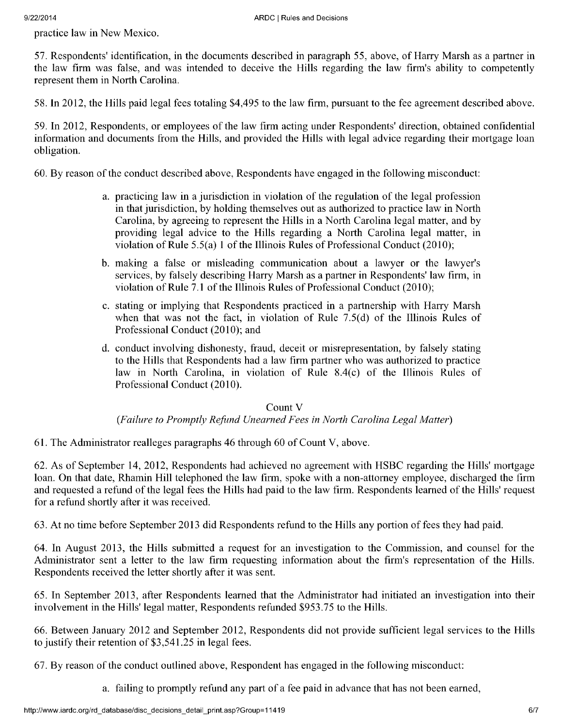practice law in New Mexico.

57. Respondents' identification, in the documents described in paragraph 55, above, of Harry Marsh as a partner in the law firm was false, and was intended to deceive the Hills regarding the law firm's ability to competently represent them in North Carolina.

58. In 2012, the Hills paid legal fees totaling \$4,495 to the law firm, pursuant to the fee agreement described above.

59. In 2012, Respondents, or employees of the law firm acting under Respondents' direction, obtained confidential information and documents from the Hills, and provided the Hills with legal advice regarding their mortgage loan obligation.

60. By reason of the conduct described above, Respondents have engaged in the following misconduct:

- a. practicing law in a jurisdiction in violation of the regulation of the legal profession in that jurisdiction, by holding themselves out as authorized to practice law in North Carolina, by agreeing to represent the Hills in a North Carolina legal matter, and by providing legal advice to the Hills regarding a North Carolina legal matter, in violation of Rule 5.5(a) 1 of the Illinois Rules of Professional Conduct (2010);
- b. making a false or misleading communication about a lawyer or the lawyer's services, by falsely describing Harry Marsh as a partner in Respondents' law firm, in violation of Rule 7.1 of the Illinois Rules of Professional Conduct (2010);
- c. stating or implying that Respondents practiced in a partnership with Harry Marsh when that was not the fact, in violation of Rule 7.5(d) of the Illinois Rules of Professional Conduct (2010); and
- d. conduct involving dishonesty, fraud, deceit or misrepresentation, by falsely stating to the Hills that Respondents had a law firm partner who was authorized to practice law in North Carolina, in violation of Rule 8.4(c) of the Illinois Rules of Professional Conduct (2010).

## Count V

## *(Failure to Promptly Refund Unearned Fees in North Carolina Legal Matter)*

61. The Administrator realleges paragraphs 46 through 60 of Count V, above.

62. As of September 14, 2012, Respondents had achieved no agreement with HSBC regarding the Hills' mortgage loan. On that date, Rhamin Hill telephoned the law firm, spoke with a non-attorney employee, discharged the firm and requested a refund of the legal fees the Hills had paid to the law firm. Respondents learned of the Hills' request for a refund shortly after it was received.

63. At no time before September 2013 did Respondents refund to the Hills any portion of fees they had paid.

64. In August 2013, the Hills submitted a request for an investigation to the Commission, and counsel for the Administrator sent a letter to the law firm requesting information about the firm's representation of the Hills. Respondents received the letter shortly after it was sent.

65. In September 2013, after Respondents learned that the Administrator had initiated an investigation into their involvement in the Hills' legal matter, Respondents refunded \$953.75 to the Hills.

66. Between January 2012 and September 2012, Respondents did not provide sufficient legal services to the Hills to justify their retention of \$3,541.25 in legal fees.

67. By reason of the conduct outlined above, Respondent has engaged in the following misconduct:

a. failing to promptly refund any part of a fee paid in advance that has not been earned,